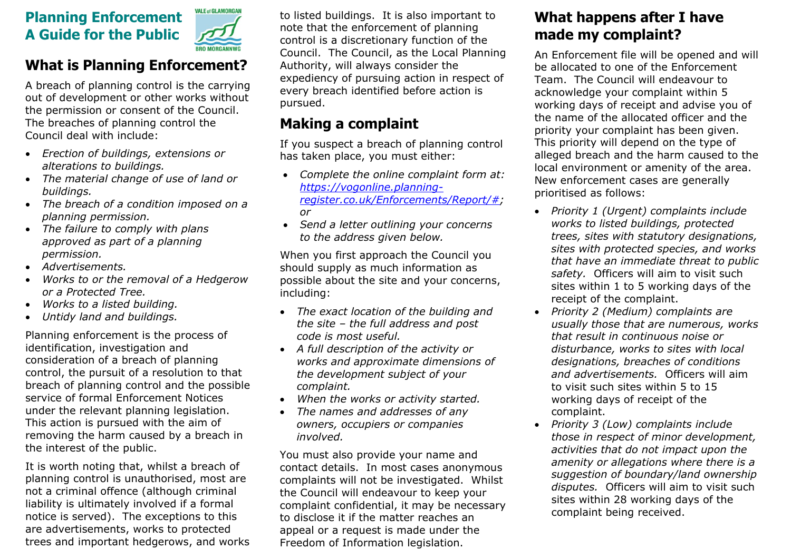# **Planning Enforcement A Guide for the Public**



#### **What is Planning Enforcement?**

A breach of planning control is the carrying out of development or other works without the permission or consent of the Council. The breaches of planning control the Council deal with include:

- *Erection of buildings, extensions or alterations to buildings.*
- *The material change of use of land or buildings.*
- *The breach of a condition imposed on a planning permission.*
- *The failure to comply with plans approved as part of a planning permission.*
- *Advertisements.*
- *Works to or the removal of a Hedgerow or a Protected Tree.*
- *Works to a listed building.*
- *Untidy land and buildings.*

Planning enforcement is the process of identification, investigation and consideration of a breach of planning control, the pursuit of a resolution to that breach of planning control and the possible service of formal Enforcement Notices under the relevant planning legislation. This action is pursued with the aim of removing the harm caused by a breach in the interest of the public.

It is worth noting that, whilst a breach of planning control is unauthorised, most are not a criminal offence (although criminal liability is ultimately involved if a formal notice is served). The exceptions to this are advertisements, works to protected trees and important hedgerows, and works to listed buildings. It is also important to note that the enforcement of planning control is a discretionary function of the Council. The Council, as the Local Planning Authority, will always consider the expediency of pursuing action in respect of every breach identified before action is pursued.

# **Making a complaint**

If you suspect a breach of planning control has taken place, you must either:

- *Complete the online complaint form at: [https://vogonline.planning](https://vogonline.planning-register.co.uk/Enforcements/Report/)[register.co.uk/Enforcements/Report/#;](https://vogonline.planning-register.co.uk/Enforcements/Report/) or*
- *Send a letter outlining your concerns to the address given below.*

When you first approach the Council you should supply as much information as possible about the site and your concerns, including:

- *The exact location of the building and the site – the full address and post code is most useful.*
- *A full description of the activity or works and approximate dimensions of the development subject of your complaint.*
- *When the works or activity started.*
- *The names and addresses of any owners, occupiers or companies involved.*

You must also provide your name and contact details. In most cases anonymous complaints will not be investigated. Whilst the Council will endeavour to keep your complaint confidential, it may be necessary to disclose it if the matter reaches an appeal or a request is made under the Freedom of Information legislation.

# **What happens after I have made my complaint?**

An Enforcement file will be opened and will be allocated to one of the Enforcement Team. The Council will endeavour to acknowledge your complaint within 5 working days of receipt and advise you of the name of the allocated officer and the priority your complaint has been given. This priority will depend on the type of alleged breach and the harm caused to the local environment or amenity of the area. New enforcement cases are generally prioritised as follows:

- *Priority 1 (Urgent) complaints include works to listed buildings, protected trees, sites with statutory designations, sites with protected species, and works that have an immediate threat to public safety.* Officers will aim to visit such sites within 1 to 5 working days of the receipt of the complaint.
- *Priority 2 (Medium) complaints are usually those that are numerous, works that result in continuous noise or disturbance, works to sites with local designations, breaches of conditions and advertisements.* Officers will aim to visit such sites within 5 to 15 working days of receipt of the complaint.
- *Priority 3 (Low) complaints include those in respect of minor development, activities that do not impact upon the amenity or allegations where there is a suggestion of boundary/land ownership disputes.* Officers will aim to visit such sites within 28 working days of the complaint being received.